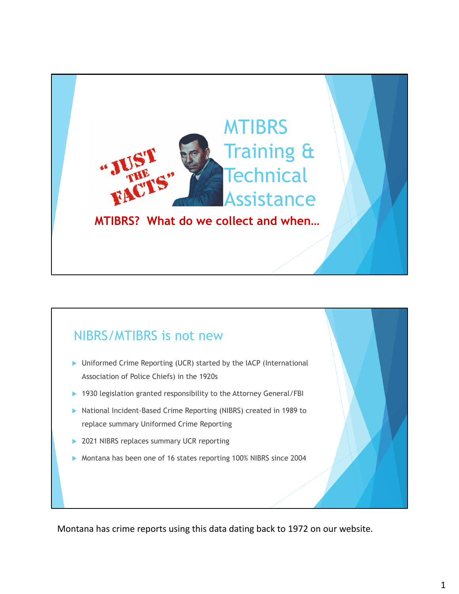

## NIBRS/MTIBRS is not new

- **ID** Uniformed Crime Reporting (UCR) started by the IACP (International Association of Police Chiefs) in the 1920s
- ▶ 1930 legislation granted responsibility to the Attorney General/FBI
- National Incident-Based Crime Reporting (NIBRS) created in 1989 to replace summary Uniformed Crime Reporting
- ▶ 2021 NIBRS replaces summary UCR reporting
- Montana has been one of 16 states reporting 100% NIBRS since 2004

Montana has crime reports using this data dating back to 1972 on our website.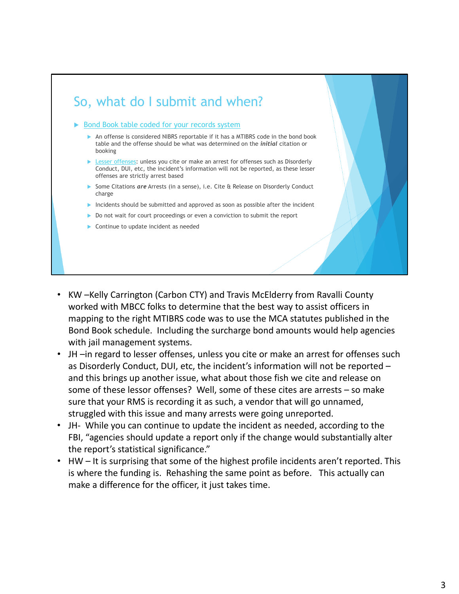

- • KW –Kelly Carrington (Carbon CTY) and Travis McElderry from Ravalli County worked with MBCC folks to determine that the best way to assist officers in mapping to the right MTIBRS code was to use the MCA statutes published in the Bond Book schedule. Including the surcharge bond amounts would help agencies with jail management systems.
- JH –in regard to lesser offenses, unless you cite or make an arrest for offenses such as Disorderly Conduct, DUI, etc, the incident's information will not be reported – and this brings up another issue, what about those fish we cite and release on some of these lessor offenses? Well, some of these cites are arrests – so make sure that your RMS is recording it as such, a vendor that will go unnamed, struggled with this issue and many arrests were going unreported.
- JH- While you can continue to update the incident as needed, according to the FBI, "agencies should update a report only if the change would substantially alter the report's statistical significance."
- • HW It is surprising that some of the highest profile incidents aren't reported. This is where the funding is. Rehashing the same point as before. This actually can make a difference for the officer, it just takes time.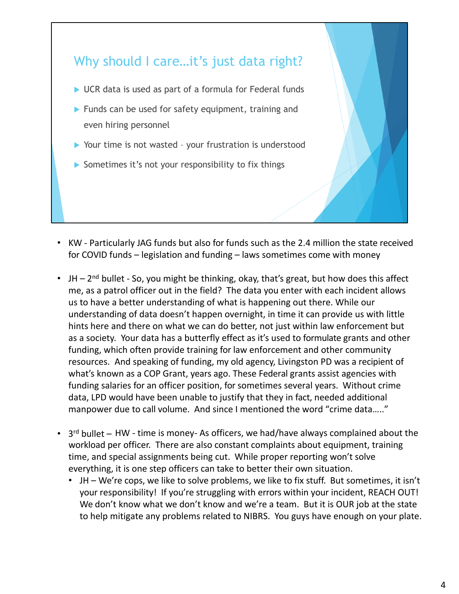## Why should I care...it's just data right? UCR data is used as part of a formula for Federal funds  $\blacktriangleright$  Funds can be used for safety equipment, training and even hiring personnel ▶ Your time is not wasted - your frustration is understood  $\triangleright$  Sometimes it's not your responsibility to fix things

- • KW ‐ Particularly JAG funds but also for funds such as the 2.4 million the state received for COVID funds – legislation and funding – laws sometimes come with money
- JH 2<sup>nd</sup> bullet So, you might be thinking, okay, that's great, but how does this affect me, as a patrol officer out in the field? The data you enter with each incident allows us to have a better understanding of what is happening out there. While our understanding of data doesn't happen overnight, in time it can provide us with little hints here and there on what we can do better, not just within law enforcement but as a society. Your data has a butterfly effect as it's used to formulate grants and other funding, which often provide training for law enforcement and other community resources. And speaking of funding, my old agency, Livingston PD was a recipient of what's known as a COP Grant, years ago. These Federal grants assist agencies with funding salaries for an officer position, for sometimes several years. Without crime data, LPD would have been unable to justify that they in fact, needed additional manpower due to call volume. And since I mentioned the word "crime data….."
- 3<sup>rd</sup> bullet HW time is money- As officers, we had/have always complained about the workload per officer. There are also constant complaints about equipment, training time, and special assignments being cut. While proper reporting won't solve everything, it is one step officers can take to better their own situation.
	- JH We're cops, we like to solve problems, we like to fix stuff. But sometimes, it isn't your responsibility! If you're struggling with errors within your incident, REACH OUT! We don't know what we don't know and we're a team. But it is OUR job at the state to help mitigate any problems related to NIBRS. You guys have enough on your plate.